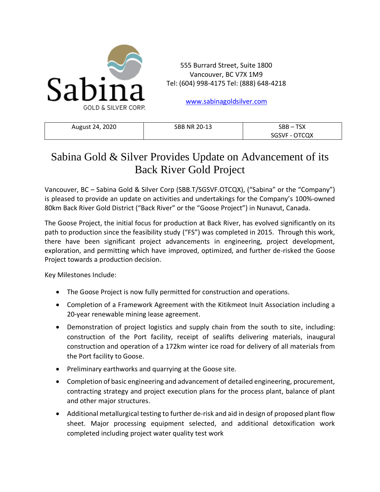

555 Burrard Street, Suite 1800 Vancouver, BC V7X 1M9 Tel: (604) 998-4175 Tel: (888) 648-4218

[www.sabinagoldsilver.com](http://www.sabinagoldsilver.com/)

| August 24, 2020 | <b>SBB NR 20-13</b> | <b>TSX</b><br>$SBB - 7$ |
|-----------------|---------------------|-------------------------|
|                 |                     | SGSVF - OTCQX           |

# Sabina Gold & Silver Provides Update on Advancement of its Back River Gold Project

Vancouver, BC – Sabina Gold & Silver Corp (SBB.T/SGSVF.OTCQX), ("Sabina" or the "Company") is pleased to provide an update on activities and undertakings for the Company's 100%-owned 80km Back River Gold District ("Back River" or the "Goose Project") in Nunavut, Canada.

The Goose Project, the initial focus for production at Back River, has evolved significantly on its path to production since the feasibility study ("FS") was completed in 2015. Through this work, there have been significant project advancements in engineering, project development, exploration, and permitting which have improved, optimized, and further de-risked the Goose Project towards a production decision.

Key Milestones Include:

- The Goose Project is now fully permitted for construction and operations.
- Completion of a Framework Agreement with the Kitikmeot Inuit Association including a 20-year renewable mining lease agreement.
- Demonstration of project logistics and supply chain from the south to site, including: construction of the Port facility, receipt of sealifts delivering materials, inaugural construction and operation of a 172km winter ice road for delivery of all materials from the Port facility to Goose.
- Preliminary earthworks and quarrying at the Goose site.
- Completion of basic engineering and advancement of detailed engineering, procurement, contracting strategy and project execution plans for the process plant, balance of plant and other major structures.
- Additional metallurgical testing to further de-risk and aid in design of proposed plant flow sheet. Major processing equipment selected, and additional detoxification work completed including project water quality test work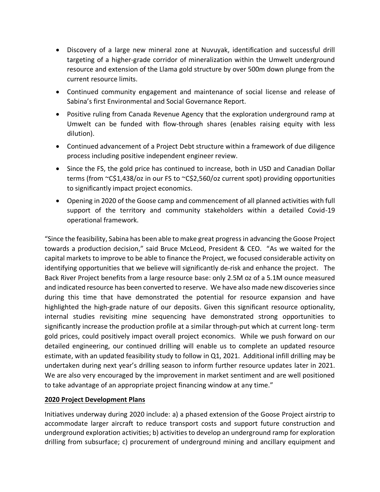- Discovery of a large new mineral zone at Nuvuyak, identification and successful drill targeting of a higher-grade corridor of mineralization within the Umwelt underground resource and extension of the Llama gold structure by over 500m down plunge from the current resource limits.
- Continued community engagement and maintenance of social license and release of Sabina's first Environmental and Social Governance Report.
- Positive ruling from Canada Revenue Agency that the exploration underground ramp at Umwelt can be funded with flow-through shares (enables raising equity with less dilution).
- Continued advancement of a Project Debt structure within a framework of due diligence process including positive independent engineer review.
- Since the FS, the gold price has continued to increase, both in USD and Canadian Dollar terms (from ~C\$1,438/oz in our FS to ~C\$2,560/oz current spot) providing opportunities to significantly impact project economics.
- Opening in 2020 of the Goose camp and commencement of all planned activities with full support of the territory and community stakeholders within a detailed Covid-19 operational framework.

"Since the feasibility, Sabina has been able to make great progress in advancing the Goose Project towards a production decision," said Bruce McLeod, President & CEO. "As we waited for the capital markets to improve to be able to finance the Project, we focused considerable activity on identifying opportunities that we believe will significantly de-risk and enhance the project. The Back River Project benefits from a large resource base: only 2.5M oz of a 5.1M ounce measured and indicated resource has been converted to reserve. We have also made new discoveries since during this time that have demonstrated the potential for resource expansion and have highlighted the high-grade nature of our deposits. Given this significant resource optionality, internal studies revisiting mine sequencing have demonstrated strong opportunities to significantly increase the production profile at a similar through-put which at current long- term gold prices, could positively impact overall project economics. While we push forward on our detailed engineering, our continued drilling will enable us to complete an updated resource estimate, with an updated feasibility study to follow in Q1, 2021. Additional infill drilling may be undertaken during next year's drilling season to inform further resource updates later in 2021. We are also very encouraged by the improvement in market sentiment and are well positioned to take advantage of an appropriate project financing window at any time."

# **2020 Project Development Plans**

Initiatives underway during 2020 include: a) a phased extension of the Goose Project airstrip to accommodate larger aircraft to reduce transport costs and support future construction and underground exploration activities; b) activities to develop an underground ramp for exploration drilling from subsurface; c) procurement of underground mining and ancillary equipment and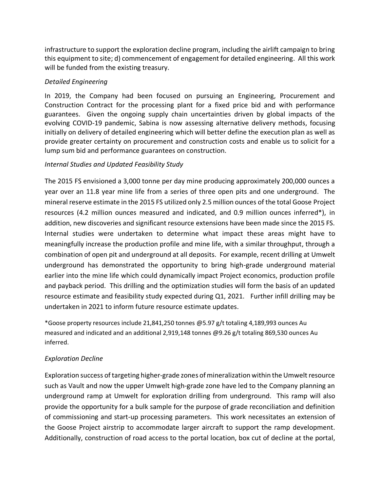infrastructure to support the exploration decline program, including the airlift campaign to bring this equipment to site; d) commencement of engagement for detailed engineering. All this work will be funded from the existing treasury.

# *Detailed Engineering*

In 2019, the Company had been focused on pursuing an Engineering, Procurement and Construction Contract for the processing plant for a fixed price bid and with performance guarantees. Given the ongoing supply chain uncertainties driven by global impacts of the evolving COVID-19 pandemic, Sabina is now assessing alternative delivery methods, focusing initially on delivery of detailed engineering which will better define the execution plan as well as provide greater certainty on procurement and construction costs and enable us to solicit for a lump sum bid and performance guarantees on construction.

# *Internal Studies and Updated Feasibility Study*

The 2015 FS envisioned a 3,000 tonne per day mine producing approximately 200,000 ounces a year over an 11.8 year mine life from a series of three open pits and one underground. The mineral reserve estimate in the 2015 FS utilized only 2.5 million ounces of the total Goose Project resources (4.2 million ounces measured and indicated, and 0.9 million ounces inferred\*), in addition, new discoveries and significant resource extensions have been made since the 2015 FS. Internal studies were undertaken to determine what impact these areas might have to meaningfully increase the production profile and mine life, with a similar throughput, through a combination of open pit and underground at all deposits. For example, recent drilling at Umwelt underground has demonstrated the opportunity to bring high-grade underground material earlier into the mine life which could dynamically impact Project economics, production profile and payback period. This drilling and the optimization studies will form the basis of an updated resource estimate and feasibility study expected during Q1, 2021. Further infill drilling may be undertaken in 2021 to inform future resource estimate updates.

\*Goose property resources include 21,841,250 tonnes @5.97 g/t totaling 4,189,993 ounces Au measured and indicated and an additional 2,919,148 tonnes @9.26 g/t totaling 869,530 ounces Au inferred.

# *Exploration Decline*

Exploration success of targeting higher-grade zones of mineralization within the Umwelt resource such as Vault and now the upper Umwelt high-grade zone have led to the Company planning an underground ramp at Umwelt for exploration drilling from underground. This ramp will also provide the opportunity for a bulk sample for the purpose of grade reconciliation and definition of commissioning and start-up processing parameters. This work necessitates an extension of the Goose Project airstrip to accommodate larger aircraft to support the ramp development. Additionally, construction of road access to the portal location, box cut of decline at the portal,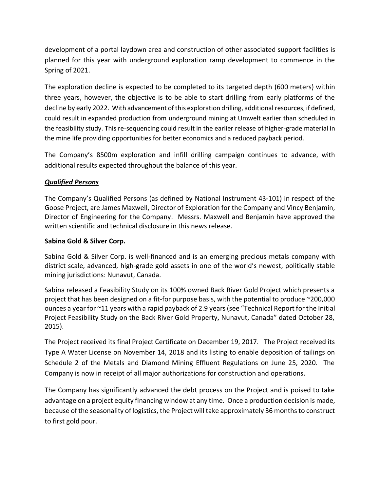development of a portal laydown area and construction of other associated support facilities is planned for this year with underground exploration ramp development to commence in the Spring of 2021.

The exploration decline is expected to be completed to its targeted depth (600 meters) within three years, however, the objective is to be able to start drilling from early platforms of the decline by early 2022. With advancement of this exploration drilling, additional resources, if defined, could result in expanded production from underground mining at Umwelt earlier than scheduled in the feasibility study. This re-sequencing could result in the earlier release of higher-grade material in the mine life providing opportunities for better economics and a reduced payback period.

The Company's 8500m exploration and infill drilling campaign continues to advance, with additional results expected throughout the balance of this year.

# *Qualified Persons*

The Company's Qualified Persons (as defined by National Instrument 43-101) in respect of the Goose Project, are James Maxwell, Director of Exploration for the Company and Vincy Benjamin, Director of Engineering for the Company. Messrs. Maxwell and Benjamin have approved the written scientific and technical disclosure in this news release.

# **Sabina Gold & Silver Corp.**

Sabina Gold & Silver Corp. is well-financed and is an emerging precious metals company with district scale, advanced, high-grade gold assets in one of the world's newest, politically stable mining jurisdictions: Nunavut, Canada.

Sabina released a Feasibility Study on its 100% owned Back River Gold Project which presents a project that has been designed on a fit-for purpose basis, with the potential to produce ~200,000 ounces a year for ~11 years with a rapid payback of 2.9 years (see "Technical Report for the Initial Project Feasibility Study on the Back River Gold Property, Nunavut, Canada" dated October 28, 2015).

The Project received its final Project Certificate on December 19, 2017. The Project received its Type A Water License on November 14, 2018 and its listing to enable deposition of tailings on Schedule 2 of the Metals and Diamond Mining Effluent Regulations on June 25, 2020. The Company is now in receipt of all major authorizations for construction and operations.

The Company has significantly advanced the debt process on the Project and is poised to take advantage on a project equity financing window at any time. Once a production decision is made, because of the seasonality of logistics, the Project will take approximately 36 months to construct to first gold pour.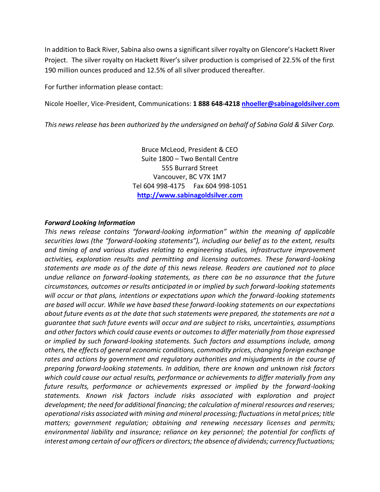In addition to Back River, Sabina also owns a significant silver royalty on Glencore's Hackett River Project. The silver royalty on Hackett River's silver production is comprised of 22.5% of the first 190 million ounces produced and 12.5% of all silver produced thereafter.

For further information please contact:

Nicole Hoeller, Vice-President, Communications: **1 888 648-4218 [nhoeller@sabinagoldsilver.com](mailto:nhoeller@sabinagoldsilver.com)**

*This news release has been authorized by the undersigned on behalf of Sabina Gold & Silver Corp.*

Bruce McLeod, President & CEO Suite 1800 – Two Bentall Centre 555 Burrard Street Vancouver, BC V7X 1M7 Tel 604 998-4175 Fax 604 998-1051 **[http://www.sabinagoldsilver.com](http://www.sabinagoldsilver.com/)**

#### *Forward Looking Information*

*This news release contains "forward-looking information" within the meaning of applicable securities laws (the "forward-looking statements"), including our belief as to the extent, results and timing of and various studies relating to engineering studies, infrastructure improvement activities, exploration results and permitting and licensing outcomes. These forward-looking statements are made as of the date of this news release. Readers are cautioned not to place undue reliance on forward-looking statements, as there can be no assurance that the future circumstances, outcomes or results anticipated in or implied by such forward-looking statements will occur or that plans, intentions or expectations upon which the forward-looking statements are based will occur. While we have based these forward-looking statements on our expectations about future events as at the date that such statements were prepared, the statements are not a guarantee that such future events will occur and are subject to risks, uncertainties, assumptions and other factors which could cause events or outcomes to differ materially from those expressed or implied by such forward-looking statements. Such factors and assumptions include, among others, the effects of general economic conditions, commodity prices, changing foreign exchange rates and actions by government and regulatory authorities and misjudgments in the course of preparing forward-looking statements. In addition, there are known and unknown risk factors which could cause our actual results, performance or achievements to differ materially from any future results, performance or achievements expressed or implied by the forward-looking statements. Known risk factors include risks associated with exploration and project development; the need for additional financing; the calculation of mineral resources and reserves; operational risks associated with mining and mineral processing; fluctuations in metal prices; title matters; government regulation; obtaining and renewing necessary licenses and permits; environmental liability and insurance; reliance on key personnel; the potential for conflicts of interest among certain of our officers or directors; the absence of dividends; currency fluctuations;*